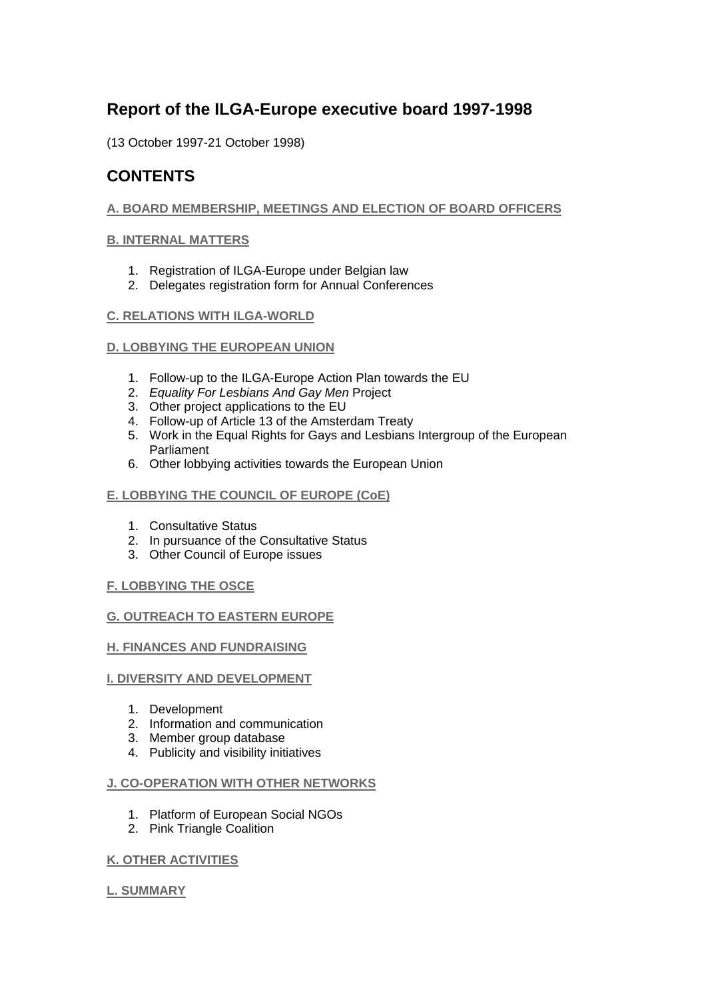# **Report of the ILGA-Europe executive board 1997-1998**

(13 October 1997-21 October 1998)

## **CONTENTS**

## **A. BOARD MEMBERSHIP, MEETINGS AND ELECTION OF BOARD OFFICERS**

## **B. INTERNAL MATTERS**

- 1. Registration of ILGA-Europe under Belgian law
- 2. Delegates registration form for Annual Conferences

## **C. RELATIONS WITH ILGA-WORLD**

## **D. LOBBYING THE EUROPEAN UNION**

- 1. Follow-up to the ILGA-Europe Action Plan towards the EU
- 2. *Equality For Lesbians And Gay Men* Project
- 3. Other project applications to the EU
- 4. Follow-up of Article 13 of the Amsterdam Treaty
- 5. Work in the Equal Rights for Gays and Lesbians Intergroup of the European Parliament
- 6. Other lobbying activities towards the European Union

## **E. LOBBYING THE COUNCIL OF EUROPE (CoE)**

- 1. Consultative Status
- 2. In pursuance of the Consultative Status
- 3. Other Council of Europe issues

## **F. LOBBYING THE OSCE**

## **G. OUTREACH TO EASTERN EUROPE**

## **H. FINANCES AND FUNDRAISING**

## **I. DIVERSITY AND DEVELOPMENT**

- 1. Development
- 2. Information and communication
- 3. Member group database
- 4. Publicity and visibility initiatives

## **J. CO-OPERATION WITH OTHER NETWORKS**

- 1. Platform of European Social NGOs
- 2. Pink Triangle Coalition

## **K. OTHER ACTIVITIES**

## **L. SUMMARY**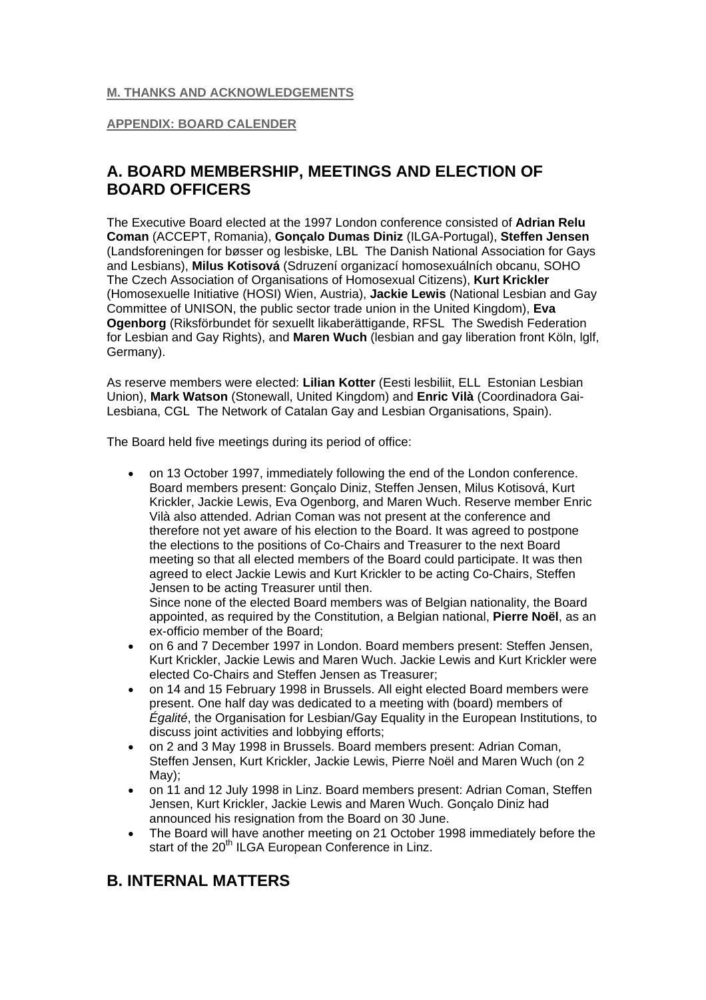## **M. THANKS AND ACKNOWLEDGEMENTS**

## **APPENDIX: BOARD CALENDER**

# **A. BOARD MEMBERSHIP, MEETINGS AND ELECTION OF BOARD OFFICERS**

The Executive Board elected at the 1997 London conference consisted of **Adrian Relu Coman** (ACCEPT, Romania), **Gonçalo Dumas Diniz** (ILGA-Portugal), **Steffen Jensen** (Landsforeningen for bøsser og lesbiske, LBL The Danish National Association for Gays and Lesbians), **Milus Kotisová** (Sdruzení organizací homosexuálních obcanu, SOHO The Czech Association of Organisations of Homosexual Citizens), **Kurt Krickler** (Homosexuelle Initiative (HOSI) Wien, Austria), **Jackie Lewis** (National Lesbian and Gay Committee of UNISON, the public sector trade union in the United Kingdom), **Eva Ogenborg** (Riksförbundet för sexuellt likaberättigande, RFSL The Swedish Federation for Lesbian and Gay Rights), and **Maren Wuch** (lesbian and gay liberation front Köln, lglf, Germany).

As reserve members were elected: **Lilian Kotter** (Eesti lesbiliit, ELL Estonian Lesbian Union), **Mark Watson** (Stonewall, United Kingdom) and **Enric Vilà** (Coordinadora Gai-Lesbiana, CGL The Network of Catalan Gay and Lesbian Organisations, Spain).

The Board held five meetings during its period of office:

• on 13 October 1997, immediately following the end of the London conference. Board members present: Gonçalo Diniz, Steffen Jensen, Milus Kotisová, Kurt Krickler, Jackie Lewis, Eva Ogenborg, and Maren Wuch. Reserve member Enric Vilà also attended. Adrian Coman was not present at the conference and therefore not yet aware of his election to the Board. It was agreed to postpone the elections to the positions of Co-Chairs and Treasurer to the next Board meeting so that all elected members of the Board could participate. It was then agreed to elect Jackie Lewis and Kurt Krickler to be acting Co-Chairs, Steffen Jensen to be acting Treasurer until then.

Since none of the elected Board members was of Belgian nationality, the Board appointed, as required by the Constitution, a Belgian national, **Pierre Noël**, as an ex-officio member of the Board;

- on 6 and 7 December 1997 in London. Board members present: Steffen Jensen, Kurt Krickler, Jackie Lewis and Maren Wuch. Jackie Lewis and Kurt Krickler were elected Co-Chairs and Steffen Jensen as Treasurer;
- on 14 and 15 February 1998 in Brussels. All eight elected Board members were present. One half day was dedicated to a meeting with (board) members of *Égalité*, the Organisation for Lesbian/Gay Equality in the European Institutions, to discuss joint activities and lobbying efforts;
- on 2 and 3 May 1998 in Brussels. Board members present: Adrian Coman, Steffen Jensen, Kurt Krickler, Jackie Lewis, Pierre Noël and Maren Wuch (on 2 May);
- on 11 and 12 July 1998 in Linz. Board members present: Adrian Coman, Steffen Jensen, Kurt Krickler, Jackie Lewis and Maren Wuch. Gonçalo Diniz had announced his resignation from the Board on 30 June.
- The Board will have another meeting on 21 October 1998 immediately before the start of the 20<sup>th</sup> ILGA European Conference in Linz.

# **B. INTERNAL MATTERS**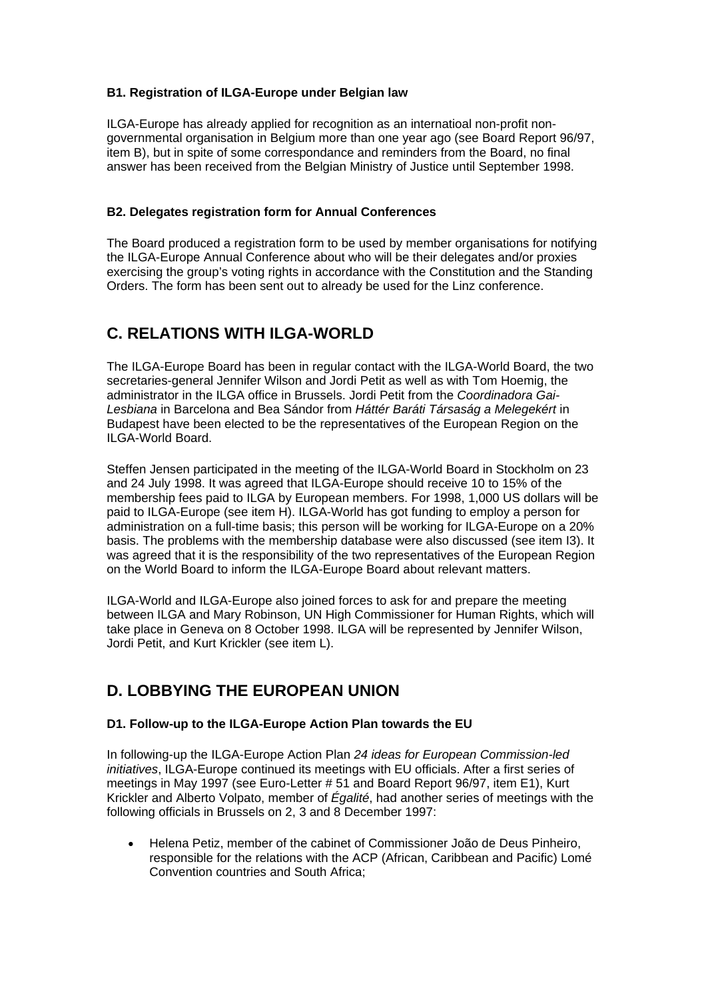## **B1. Registration of ILGA-Europe under Belgian law**

ILGA-Europe has already applied for recognition as an internatioal non-profit nongovernmental organisation in Belgium more than one year ago (see Board Report 96/97, item B), but in spite of some correspondance and reminders from the Board, no final answer has been received from the Belgian Ministry of Justice until September 1998.

## **B2. Delegates registration form for Annual Conferences**

The Board produced a registration form to be used by member organisations for notifying the ILGA-Europe Annual Conference about who will be their delegates and/or proxies exercising the group's voting rights in accordance with the Constitution and the Standing Orders. The form has been sent out to already be used for the Linz conference.

# **C. RELATIONS WITH ILGA-WORLD**

The ILGA-Europe Board has been in regular contact with the ILGA-World Board, the two secretaries-general Jennifer Wilson and Jordi Petit as well as with Tom Hoemig, the administrator in the ILGA office in Brussels. Jordi Petit from the *Coordinadora Gai-Lesbiana* in Barcelona and Bea Sándor from *Háttér Baráti Társaság a Melegekért* in Budapest have been elected to be the representatives of the European Region on the ILGA-World Board.

Steffen Jensen participated in the meeting of the ILGA-World Board in Stockholm on 23 and 24 July 1998. It was agreed that ILGA-Europe should receive 10 to 15% of the membership fees paid to ILGA by European members. For 1998, 1,000 US dollars will be paid to ILGA-Europe (see item H). ILGA-World has got funding to employ a person for administration on a full-time basis; this person will be working for ILGA-Europe on a 20% basis. The problems with the membership database were also discussed (see item I3). It was agreed that it is the responsibility of the two representatives of the European Region on the World Board to inform the ILGA-Europe Board about relevant matters.

ILGA-World and ILGA-Europe also joined forces to ask for and prepare the meeting between ILGA and Mary Robinson, UN High Commissioner for Human Rights, which will take place in Geneva on 8 October 1998. ILGA will be represented by Jennifer Wilson, Jordi Petit, and Kurt Krickler (see item L).

# **D. LOBBYING THE EUROPEAN UNION**

## **D1. Follow-up to the ILGA-Europe Action Plan towards the EU**

In following-up the ILGA-Europe Action Plan *24 ideas for European Commission-led initiatives*, ILGA-Europe continued its meetings with EU officials. After a first series of meetings in May 1997 (see Euro-Letter # 51 and Board Report 96/97, item E1), Kurt Krickler and Alberto Volpato, member of *Égalité*, had another series of meetings with the following officials in Brussels on 2, 3 and 8 December 1997:

• Helena Petiz, member of the cabinet of Commissioner João de Deus Pinheiro, responsible for the relations with the ACP (African, Caribbean and Pacific) Lomé Convention countries and South Africa;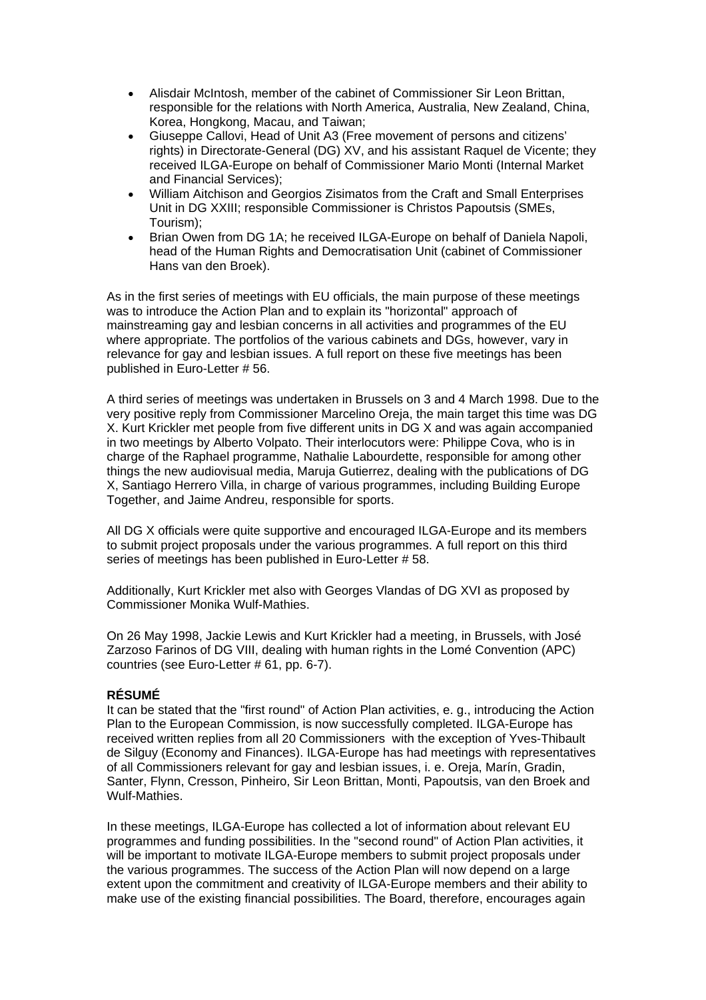- Alisdair McIntosh, member of the cabinet of Commissioner Sir Leon Brittan, responsible for the relations with North America, Australia, New Zealand, China, Korea, Hongkong, Macau, and Taiwan;
- Giuseppe Callovi, Head of Unit A3 (Free movement of persons and citizens' rights) in Directorate-General (DG) XV, and his assistant Raquel de Vicente; they received ILGA-Europe on behalf of Commissioner Mario Monti (Internal Market and Financial Services);
- William Aitchison and Georgios Zisimatos from the Craft and Small Enterprises Unit in DG XXIII; responsible Commissioner is Christos Papoutsis (SMEs, Tourism);
- Brian Owen from DG 1A; he received ILGA-Europe on behalf of Daniela Napoli, head of the Human Rights and Democratisation Unit (cabinet of Commissioner Hans van den Broek).

As in the first series of meetings with EU officials, the main purpose of these meetings was to introduce the Action Plan and to explain its "horizontal" approach of mainstreaming gay and lesbian concerns in all activities and programmes of the EU where appropriate. The portfolios of the various cabinets and DGs, however, vary in relevance for gay and lesbian issues. A full report on these five meetings has been published in Euro-Letter # 56.

A third series of meetings was undertaken in Brussels on 3 and 4 March 1998. Due to the very positive reply from Commissioner Marcelino Oreja, the main target this time was DG X. Kurt Krickler met people from five different units in DG X and was again accompanied in two meetings by Alberto Volpato. Their interlocutors were: Philippe Cova, who is in charge of the Raphael programme, Nathalie Labourdette, responsible for among other things the new audiovisual media, Maruja Gutierrez, dealing with the publications of DG X, Santiago Herrero Villa, in charge of various programmes, including Building Europe Together, and Jaime Andreu, responsible for sports.

All DG X officials were quite supportive and encouraged ILGA-Europe and its members to submit project proposals under the various programmes. A full report on this third series of meetings has been published in Euro-Letter # 58.

Additionally, Kurt Krickler met also with Georges Vlandas of DG XVI as proposed by Commissioner Monika Wulf-Mathies.

On 26 May 1998, Jackie Lewis and Kurt Krickler had a meeting, in Brussels, with José Zarzoso Farinos of DG VIII, dealing with human rights in the Lomé Convention (APC) countries (see Euro-Letter # 61, pp. 6-7).

## **RÉSUMÉ**

It can be stated that the "first round" of Action Plan activities, e. g., introducing the Action Plan to the European Commission, is now successfully completed. ILGA-Europe has received written replies from all 20 Commissioners with the exception of Yves-Thibault de Silguy (Economy and Finances). ILGA-Europe has had meetings with representatives of all Commissioners relevant for gay and lesbian issues, i. e. Oreja, Marín, Gradin, Santer, Flynn, Cresson, Pinheiro, Sir Leon Brittan, Monti, Papoutsis, van den Broek and Wulf-Mathies.

In these meetings, ILGA-Europe has collected a lot of information about relevant EU programmes and funding possibilities. In the "second round" of Action Plan activities, it will be important to motivate ILGA-Europe members to submit project proposals under the various programmes. The success of the Action Plan will now depend on a large extent upon the commitment and creativity of ILGA-Europe members and their ability to make use of the existing financial possibilities. The Board, therefore, encourages again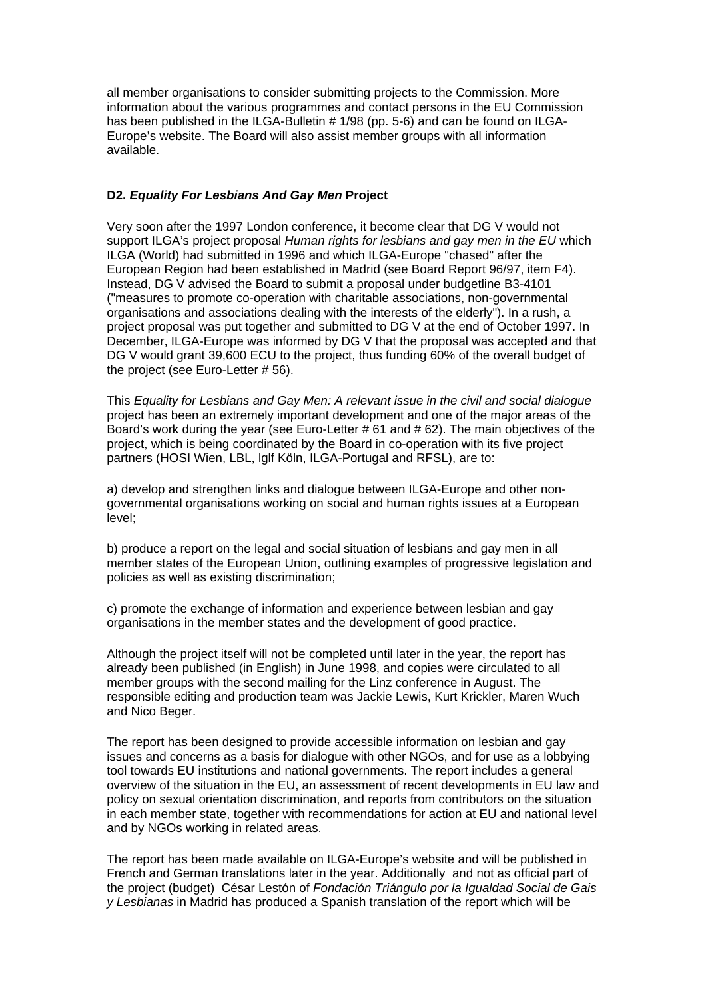all member organisations to consider submitting projects to the Commission. More information about the various programmes and contact persons in the EU Commission has been published in the ILGA-Bulletin # 1/98 (pp. 5-6) and can be found on ILGA-Europe's website. The Board will also assist member groups with all information available.

## **D2.** *Equality For Lesbians And Gay Men* **Project**

Very soon after the 1997 London conference, it become clear that DG V would not support ILGA's project proposal *Human rights for lesbians and gay men in the EU* which ILGA (World) had submitted in 1996 and which ILGA-Europe "chased" after the European Region had been established in Madrid (see Board Report 96/97, item F4). Instead, DG V advised the Board to submit a proposal under budgetline B3-4101 ("measures to promote co-operation with charitable associations, non-governmental organisations and associations dealing with the interests of the elderly"). In a rush, a project proposal was put together and submitted to DG V at the end of October 1997. In December, ILGA-Europe was informed by DG V that the proposal was accepted and that DG V would grant 39,600 ECU to the project, thus funding 60% of the overall budget of the project (see Euro-Letter # 56).

This *Equality for Lesbians and Gay Men: A relevant issue in the civil and social dialogue* project has been an extremely important development and one of the major areas of the Board's work during the year (see Euro-Letter # 61 and # 62). The main objectives of the project, which is being coordinated by the Board in co-operation with its five project partners (HOSI Wien, LBL, lglf Köln, ILGA-Portugal and RFSL), are to:

a) develop and strengthen links and dialogue between ILGA-Europe and other nongovernmental organisations working on social and human rights issues at a European level;

b) produce a report on the legal and social situation of lesbians and gay men in all member states of the European Union, outlining examples of progressive legislation and policies as well as existing discrimination;

c) promote the exchange of information and experience between lesbian and gay organisations in the member states and the development of good practice.

Although the project itself will not be completed until later in the year, the report has already been published (in English) in June 1998, and copies were circulated to all member groups with the second mailing for the Linz conference in August. The responsible editing and production team was Jackie Lewis, Kurt Krickler, Maren Wuch and Nico Beger.

The report has been designed to provide accessible information on lesbian and gay issues and concerns as a basis for dialogue with other NGOs, and for use as a lobbying tool towards EU institutions and national governments. The report includes a general overview of the situation in the EU, an assessment of recent developments in EU law and policy on sexual orientation discrimination, and reports from contributors on the situation in each member state, together with recommendations for action at EU and national level and by NGOs working in related areas.

The report has been made available on ILGA-Europe's website and will be published in French and German translations later in the year. Additionally and not as official part of the project (budget) César Lestón of *Fondación Triángulo por la Igualdad Social de Gais y Lesbianas* in Madrid has produced a Spanish translation of the report which will be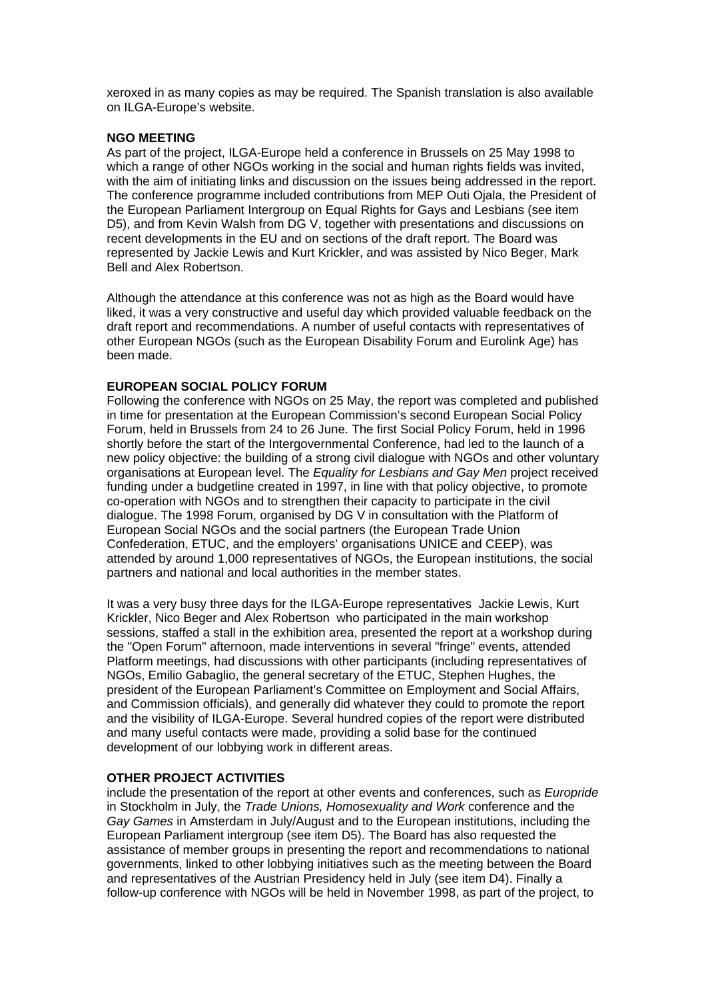xeroxed in as many copies as may be required. The Spanish translation is also available on ILGA-Europe's website.

#### **NGO MEETING**

As part of the project, ILGA-Europe held a conference in Brussels on 25 May 1998 to which a range of other NGOs working in the social and human rights fields was invited, with the aim of initiating links and discussion on the issues being addressed in the report. The conference programme included contributions from MEP Outi Ojala, the President of the European Parliament Intergroup on Equal Rights for Gays and Lesbians (see item D5), and from Kevin Walsh from DG V, together with presentations and discussions on recent developments in the EU and on sections of the draft report. The Board was represented by Jackie Lewis and Kurt Krickler, and was assisted by Nico Beger, Mark Bell and Alex Robertson.

Although the attendance at this conference was not as high as the Board would have liked, it was a very constructive and useful day which provided valuable feedback on the draft report and recommendations. A number of useful contacts with representatives of other European NGOs (such as the European Disability Forum and Eurolink Age) has been made.

#### **EUROPEAN SOCIAL POLICY FORUM**

Following the conference with NGOs on 25 May, the report was completed and published in time for presentation at the European Commission's second European Social Policy Forum, held in Brussels from 24 to 26 June. The first Social Policy Forum, held in 1996 shortly before the start of the Intergovernmental Conference, had led to the launch of a new policy objective: the building of a strong civil dialogue with NGOs and other voluntary organisations at European level. The *Equality for Lesbians and Gay Men* project received funding under a budgetline created in 1997, in line with that policy objective, to promote co-operation with NGOs and to strengthen their capacity to participate in the civil dialogue. The 1998 Forum, organised by DG V in consultation with the Platform of European Social NGOs and the social partners (the European Trade Union Confederation, ETUC, and the employers' organisations UNICE and CEEP), was attended by around 1,000 representatives of NGOs, the European institutions, the social partners and national and local authorities in the member states.

It was a very busy three days for the ILGA-Europe representatives Jackie Lewis, Kurt Krickler, Nico Beger and Alex Robertson who participated in the main workshop sessions, staffed a stall in the exhibition area, presented the report at a workshop during the "Open Forum" afternoon, made interventions in several "fringe" events, attended Platform meetings, had discussions with other participants (including representatives of NGOs, Emilio Gabaglio, the general secretary of the ETUC, Stephen Hughes, the president of the European Parliament's Committee on Employment and Social Affairs, and Commission officials), and generally did whatever they could to promote the report and the visibility of ILGA-Europe. Several hundred copies of the report were distributed and many useful contacts were made, providing a solid base for the continued development of our lobbying work in different areas.

## **OTHER PROJECT ACTIVITIES**

include the presentation of the report at other events and conferences, such as *Europride* in Stockholm in July, the *Trade Unions, Homosexuality and Work* conference and the *Gay Games* in Amsterdam in July/August and to the European institutions, including the European Parliament intergroup (see item D5). The Board has also requested the assistance of member groups in presenting the report and recommendations to national governments, linked to other lobbying initiatives such as the meeting between the Board and representatives of the Austrian Presidency held in July (see item D4). Finally a follow-up conference with NGOs will be held in November 1998, as part of the project, to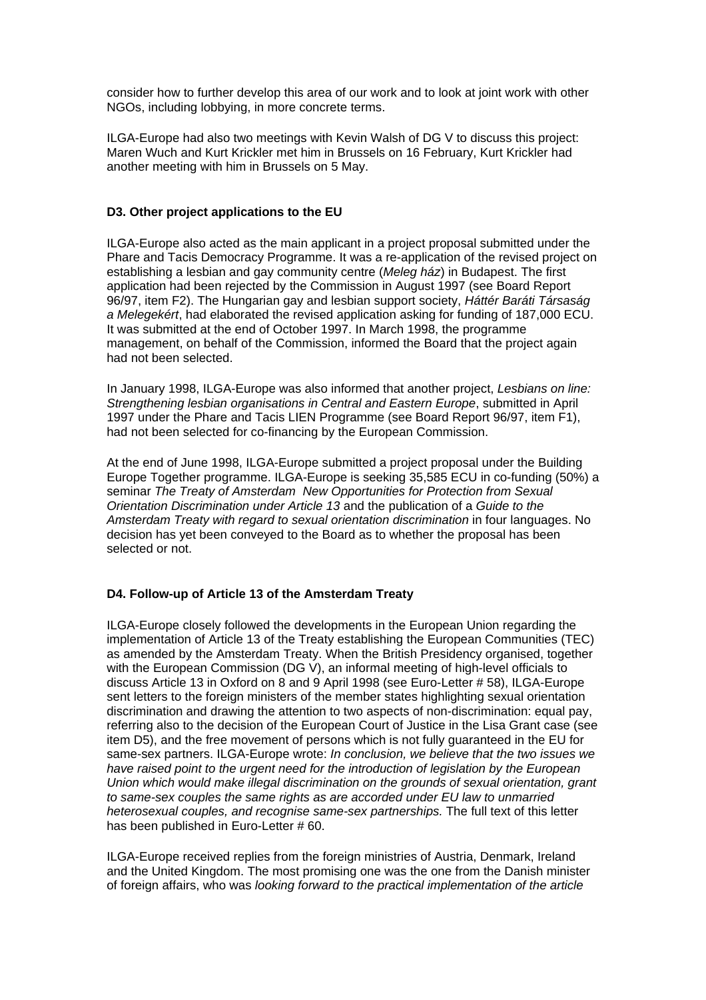consider how to further develop this area of our work and to look at joint work with other NGOs, including lobbying, in more concrete terms.

ILGA-Europe had also two meetings with Kevin Walsh of DG V to discuss this project: Maren Wuch and Kurt Krickler met him in Brussels on 16 February, Kurt Krickler had another meeting with him in Brussels on 5 May.

## **D3. Other project applications to the EU**

ILGA-Europe also acted as the main applicant in a project proposal submitted under the Phare and Tacis Democracy Programme. It was a re-application of the revised project on establishing a lesbian and gay community centre (*Meleg ház*) in Budapest. The first application had been rejected by the Commission in August 1997 (see Board Report 96/97, item F2). The Hungarian gay and lesbian support society, *Háttér Baráti Társaság a Melegekért*, had elaborated the revised application asking for funding of 187,000 ECU. It was submitted at the end of October 1997. In March 1998, the programme management, on behalf of the Commission, informed the Board that the project again had not been selected.

In January 1998, ILGA-Europe was also informed that another project, *Lesbians on line: Strengthening lesbian organisations in Central and Eastern Europe*, submitted in April 1997 under the Phare and Tacis LIEN Programme (see Board Report 96/97, item F1), had not been selected for co-financing by the European Commission.

At the end of June 1998, ILGA-Europe submitted a project proposal under the Building Europe Together programme. ILGA-Europe is seeking 35,585 ECU in co-funding (50%) a seminar *The Treaty of Amsterdam New Opportunities for Protection from Sexual Orientation Discrimination under Article 13* and the publication of a *Guide to the Amsterdam Treaty with regard to sexual orientation discrimination* in four languages. No decision has yet been conveyed to the Board as to whether the proposal has been selected or not.

## **D4. Follow-up of Article 13 of the Amsterdam Treaty**

ILGA-Europe closely followed the developments in the European Union regarding the implementation of Article 13 of the Treaty establishing the European Communities (TEC) as amended by the Amsterdam Treaty. When the British Presidency organised, together with the European Commission (DG V), an informal meeting of high-level officials to discuss Article 13 in Oxford on 8 and 9 April 1998 (see Euro-Letter # 58), ILGA-Europe sent letters to the foreign ministers of the member states highlighting sexual orientation discrimination and drawing the attention to two aspects of non-discrimination: equal pay, referring also to the decision of the European Court of Justice in the Lisa Grant case (see item D5), and the free movement of persons which is not fully guaranteed in the EU for same-sex partners. ILGA-Europe wrote: *In conclusion, we believe that the two issues we have raised point to the urgent need for the introduction of legislation by the European Union which would make illegal discrimination on the grounds of sexual orientation, grant to same-sex couples the same rights as are accorded under EU law to unmarried heterosexual couples, and recognise same-sex partnerships.* The full text of this letter has been published in Euro-Letter # 60.

ILGA-Europe received replies from the foreign ministries of Austria, Denmark, Ireland and the United Kingdom. The most promising one was the one from the Danish minister of foreign affairs, who was *looking forward to the practical implementation of the article*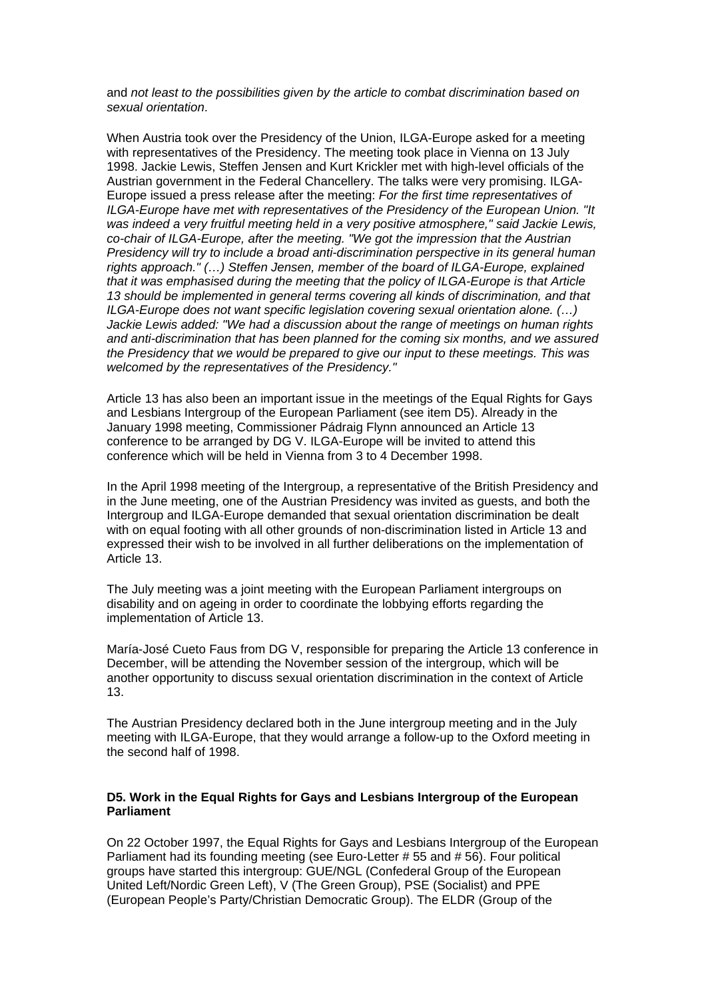and *not least to the possibilities given by the article to combat discrimination based on sexual orientation*.

When Austria took over the Presidency of the Union, ILGA-Europe asked for a meeting with representatives of the Presidency. The meeting took place in Vienna on 13 July 1998. Jackie Lewis, Steffen Jensen and Kurt Krickler met with high-level officials of the Austrian government in the Federal Chancellery. The talks were very promising. ILGA-Europe issued a press release after the meeting: *For the first time representatives of ILGA-Europe have met with representatives of the Presidency of the European Union. "It was indeed a very fruitful meeting held in a very positive atmosphere," said Jackie Lewis, co-chair of ILGA-Europe, after the meeting. "We got the impression that the Austrian Presidency will try to include a broad anti-discrimination perspective in its general human rights approach." (…) Steffen Jensen, member of the board of ILGA-Europe, explained that it was emphasised during the meeting that the policy of ILGA-Europe is that Article 13 should be implemented in general terms covering all kinds of discrimination, and that ILGA-Europe does not want specific legislation covering sexual orientation alone. (…) Jackie Lewis added: "We had a discussion about the range of meetings on human rights and anti-discrimination that has been planned for the coming six months, and we assured the Presidency that we would be prepared to give our input to these meetings. This was welcomed by the representatives of the Presidency."*

Article 13 has also been an important issue in the meetings of the Equal Rights for Gays and Lesbians Intergroup of the European Parliament (see item D5). Already in the January 1998 meeting, Commissioner Pádraig Flynn announced an Article 13 conference to be arranged by DG V. ILGA-Europe will be invited to attend this conference which will be held in Vienna from 3 to 4 December 1998.

In the April 1998 meeting of the Intergroup, a representative of the British Presidency and in the June meeting, one of the Austrian Presidency was invited as guests, and both the Intergroup and ILGA-Europe demanded that sexual orientation discrimination be dealt with on equal footing with all other grounds of non-discrimination listed in Article 13 and expressed their wish to be involved in all further deliberations on the implementation of Article 13.

The July meeting was a joint meeting with the European Parliament intergroups on disability and on ageing in order to coordinate the lobbying efforts regarding the implementation of Article 13.

María-José Cueto Faus from DG V, responsible for preparing the Article 13 conference in December, will be attending the November session of the intergroup, which will be another opportunity to discuss sexual orientation discrimination in the context of Article 13.

The Austrian Presidency declared both in the June intergroup meeting and in the July meeting with ILGA-Europe, that they would arrange a follow-up to the Oxford meeting in the second half of 1998.

## **D5. Work in the Equal Rights for Gays and Lesbians Intergroup of the European Parliament**

On 22 October 1997, the Equal Rights for Gays and Lesbians Intergroup of the European Parliament had its founding meeting (see Euro-Letter # 55 and # 56). Four political groups have started this intergroup: GUE/NGL (Confederal Group of the European United Left/Nordic Green Left), V (The Green Group), PSE (Socialist) and PPE (European People's Party/Christian Democratic Group). The ELDR (Group of the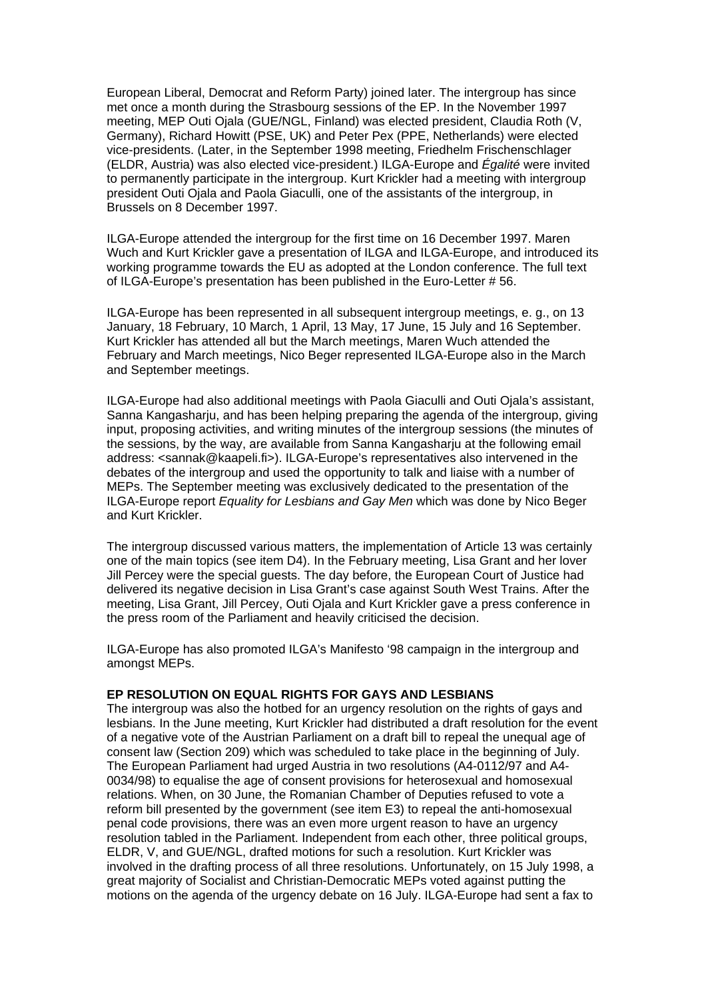European Liberal, Democrat and Reform Party) joined later. The intergroup has since met once a month during the Strasbourg sessions of the EP. In the November 1997 meeting, MEP Outi Ojala (GUE/NGL, Finland) was elected president, Claudia Roth (V, Germany), Richard Howitt (PSE, UK) and Peter Pex (PPE, Netherlands) were elected vice-presidents. (Later, in the September 1998 meeting, Friedhelm Frischenschlager (ELDR, Austria) was also elected vice-president.) ILGA-Europe and *Égalité* were invited to permanently participate in the intergroup. Kurt Krickler had a meeting with intergroup president Outi Ojala and Paola Giaculli, one of the assistants of the intergroup, in Brussels on 8 December 1997.

ILGA-Europe attended the intergroup for the first time on 16 December 1997. Maren Wuch and Kurt Krickler gave a presentation of ILGA and ILGA-Europe, and introduced its working programme towards the EU as adopted at the London conference. The full text of ILGA-Europe's presentation has been published in the Euro-Letter # 56.

ILGA-Europe has been represented in all subsequent intergroup meetings, e. g., on 13 January, 18 February, 10 March, 1 April, 13 May, 17 June, 15 July and 16 September. Kurt Krickler has attended all but the March meetings, Maren Wuch attended the February and March meetings, Nico Beger represented ILGA-Europe also in the March and September meetings.

ILGA-Europe had also additional meetings with Paola Giaculli and Outi Ojala's assistant, Sanna Kangasharju, and has been helping preparing the agenda of the intergroup, giving input, proposing activities, and writing minutes of the intergroup sessions (the minutes of the sessions, by the way, are available from Sanna Kangasharju at the following email address: <sannak@kaapeli.fi>). ILGA-Europe's representatives also intervened in the debates of the intergroup and used the opportunity to talk and liaise with a number of MEPs. The September meeting was exclusively dedicated to the presentation of the ILGA-Europe report *Equality for Lesbians and Gay Men* which was done by Nico Beger and Kurt Krickler.

The intergroup discussed various matters, the implementation of Article 13 was certainly one of the main topics (see item D4). In the February meeting, Lisa Grant and her lover Jill Percey were the special guests. The day before, the European Court of Justice had delivered its negative decision in Lisa Grant's case against South West Trains. After the meeting, Lisa Grant, Jill Percey, Outi Ojala and Kurt Krickler gave a press conference in the press room of the Parliament and heavily criticised the decision.

ILGA-Europe has also promoted ILGA's Manifesto '98 campaign in the intergroup and amongst MEPs.

## **EP RESOLUTION ON EQUAL RIGHTS FOR GAYS AND LESBIANS**

The intergroup was also the hotbed for an urgency resolution on the rights of gays and lesbians. In the June meeting, Kurt Krickler had distributed a draft resolution for the event of a negative vote of the Austrian Parliament on a draft bill to repeal the unequal age of consent law (Section 209) which was scheduled to take place in the beginning of July. The European Parliament had urged Austria in two resolutions (A4-0112/97 and A4- 0034/98) to equalise the age of consent provisions for heterosexual and homosexual relations. When, on 30 June, the Romanian Chamber of Deputies refused to vote a reform bill presented by the government (see item E3) to repeal the anti-homosexual penal code provisions, there was an even more urgent reason to have an urgency resolution tabled in the Parliament. Independent from each other, three political groups, ELDR, V, and GUE/NGL, drafted motions for such a resolution. Kurt Krickler was involved in the drafting process of all three resolutions. Unfortunately, on 15 July 1998, a great majority of Socialist and Christian-Democratic MEPs voted against putting the motions on the agenda of the urgency debate on 16 July. ILGA-Europe had sent a fax to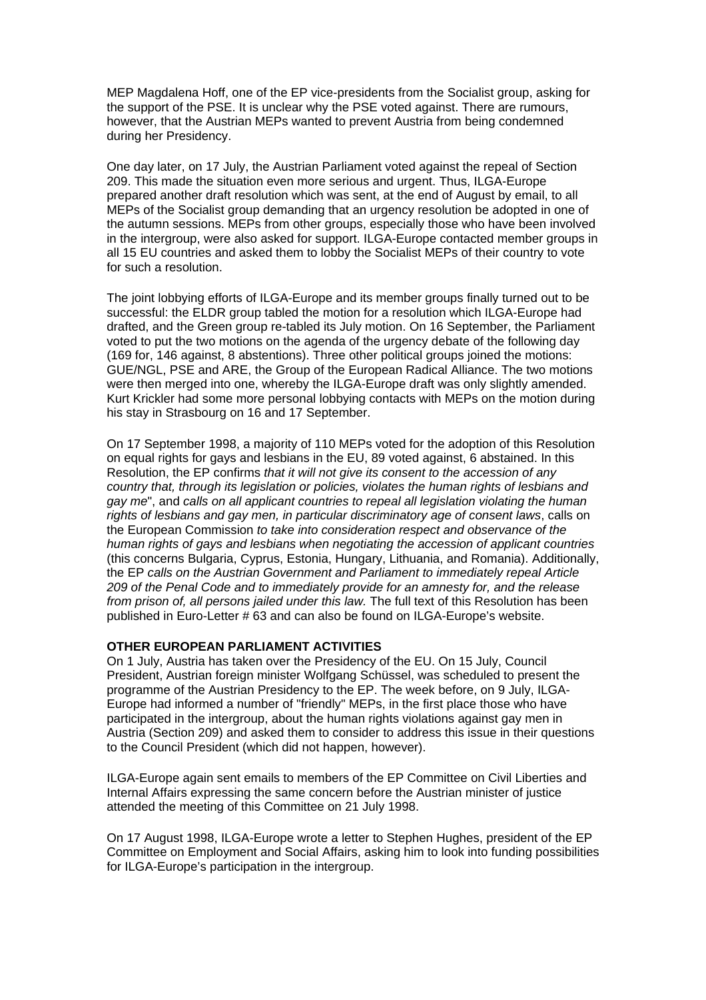MEP Magdalena Hoff, one of the EP vice-presidents from the Socialist group, asking for the support of the PSE. It is unclear why the PSE voted against. There are rumours, however, that the Austrian MEPs wanted to prevent Austria from being condemned during her Presidency.

One day later, on 17 July, the Austrian Parliament voted against the repeal of Section 209. This made the situation even more serious and urgent. Thus, ILGA-Europe prepared another draft resolution which was sent, at the end of August by email, to all MEPs of the Socialist group demanding that an urgency resolution be adopted in one of the autumn sessions. MEPs from other groups, especially those who have been involved in the intergroup, were also asked for support. ILGA-Europe contacted member groups in all 15 EU countries and asked them to lobby the Socialist MEPs of their country to vote for such a resolution.

The joint lobbying efforts of ILGA-Europe and its member groups finally turned out to be successful: the ELDR group tabled the motion for a resolution which ILGA-Europe had drafted, and the Green group re-tabled its July motion. On 16 September, the Parliament voted to put the two motions on the agenda of the urgency debate of the following day (169 for, 146 against, 8 abstentions). Three other political groups joined the motions: GUE/NGL, PSE and ARE, the Group of the European Radical Alliance. The two motions were then merged into one, whereby the ILGA-Europe draft was only slightly amended. Kurt Krickler had some more personal lobbying contacts with MEPs on the motion during his stay in Strasbourg on 16 and 17 September.

On 17 September 1998, a majority of 110 MEPs voted for the adoption of this Resolution on equal rights for gays and lesbians in the EU, 89 voted against, 6 abstained. In this Resolution, the EP confirms *that it will not give its consent to the accession of any country that, through its legislation or policies, violates the human rights of lesbians and gay me*", and *calls on all applicant countries to repeal all legislation violating the human rights of lesbians and gay men, in particular discriminatory age of consent laws*, calls on the European Commission *to take into consideration respect and observance of the human rights of gays and lesbians when negotiating the accession of applicant countries* (this concerns Bulgaria, Cyprus, Estonia, Hungary, Lithuania, and Romania). Additionally, the EP *calls on the Austrian Government and Parliament to immediately repeal Article 209 of the Penal Code and to immediately provide for an amnesty for, and the release from prison of, all persons jailed under this law.* The full text of this Resolution has been published in Euro-Letter # 63 and can also be found on ILGA-Europe's website.

## **OTHER EUROPEAN PARLIAMENT ACTIVITIES**

On 1 July, Austria has taken over the Presidency of the EU. On 15 July, Council President, Austrian foreign minister Wolfgang Schüssel, was scheduled to present the programme of the Austrian Presidency to the EP. The week before, on 9 July, ILGA-Europe had informed a number of "friendly" MEPs, in the first place those who have participated in the intergroup, about the human rights violations against gay men in Austria (Section 209) and asked them to consider to address this issue in their questions to the Council President (which did not happen, however).

ILGA-Europe again sent emails to members of the EP Committee on Civil Liberties and Internal Affairs expressing the same concern before the Austrian minister of justice attended the meeting of this Committee on 21 July 1998.

On 17 August 1998, ILGA-Europe wrote a letter to Stephen Hughes, president of the EP Committee on Employment and Social Affairs, asking him to look into funding possibilities for ILGA-Europe's participation in the intergroup.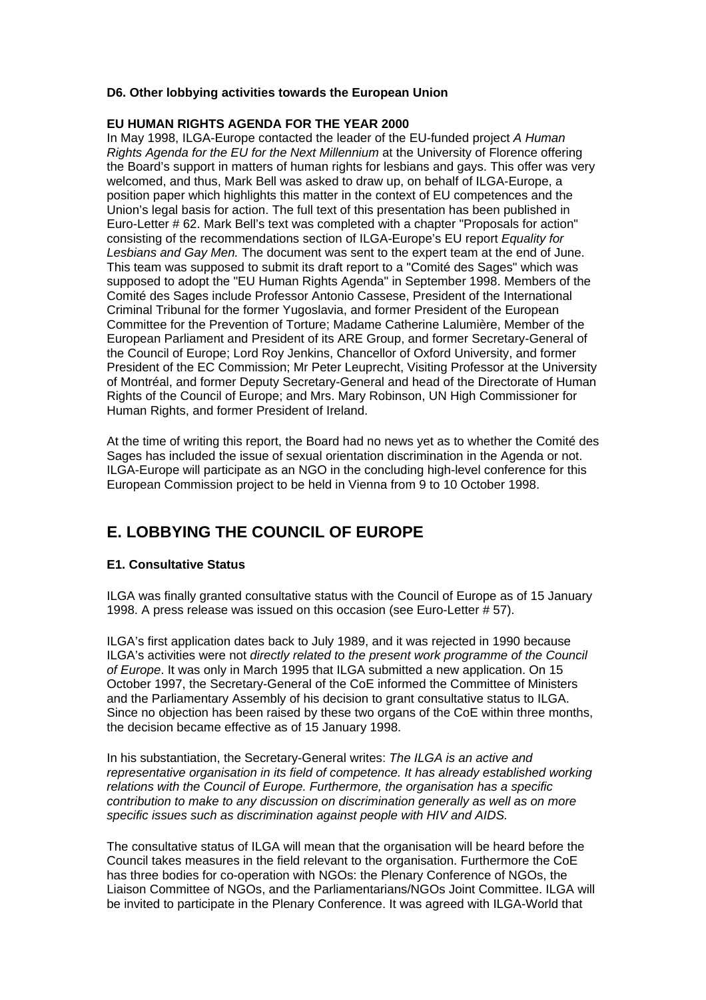## **D6. Other lobbying activities towards the European Union**

## **EU HUMAN RIGHTS AGENDA FOR THE YEAR 2000**

In May 1998, ILGA-Europe contacted the leader of the EU-funded project *A Human Rights Agenda for the EU for the Next Millennium* at the University of Florence offering the Board's support in matters of human rights for lesbians and gays. This offer was very welcomed, and thus, Mark Bell was asked to draw up, on behalf of ILGA-Europe, a position paper which highlights this matter in the context of EU competences and the Union's legal basis for action. The full text of this presentation has been published in Euro-Letter # 62. Mark Bell's text was completed with a chapter "Proposals for action" consisting of the recommendations section of ILGA-Europe's EU report *Equality for Lesbians and Gay Men.* The document was sent to the expert team at the end of June. This team was supposed to submit its draft report to a "Comité des Sages" which was supposed to adopt the "EU Human Rights Agenda" in September 1998. Members of the Comité des Sages include Professor Antonio Cassese, President of the International Criminal Tribunal for the former Yugoslavia, and former President of the European Committee for the Prevention of Torture; Madame Catherine Lalumière, Member of the European Parliament and President of its ARE Group, and former Secretary-General of the Council of Europe; Lord Roy Jenkins, Chancellor of Oxford University, and former President of the EC Commission; Mr Peter Leuprecht, Visiting Professor at the University of Montréal, and former Deputy Secretary-General and head of the Directorate of Human Rights of the Council of Europe; and Mrs. Mary Robinson, UN High Commissioner for Human Rights, and former President of Ireland.

At the time of writing this report, the Board had no news yet as to whether the Comité des Sages has included the issue of sexual orientation discrimination in the Agenda or not. ILGA-Europe will participate as an NGO in the concluding high-level conference for this European Commission project to be held in Vienna from 9 to 10 October 1998.

# **E. LOBBYING THE COUNCIL OF EUROPE**

## **E1. Consultative Status**

ILGA was finally granted consultative status with the Council of Europe as of 15 January 1998. A press release was issued on this occasion (see Euro-Letter # 57).

ILGA's first application dates back to July 1989, and it was rejected in 1990 because ILGA's activities were not *directly related to the present work programme of the Council of Europe*. It was only in March 1995 that ILGA submitted a new application. On 15 October 1997, the Secretary-General of the CoE informed the Committee of Ministers and the Parliamentary Assembly of his decision to grant consultative status to ILGA. Since no objection has been raised by these two organs of the CoE within three months, the decision became effective as of 15 January 1998.

In his substantiation, the Secretary-General writes: *The ILGA is an active and representative organisation in its field of competence. It has already established working relations with the Council of Europe. Furthermore, the organisation has a specific contribution to make to any discussion on discrimination generally as well as on more specific issues such as discrimination against people with HIV and AIDS.*

The consultative status of ILGA will mean that the organisation will be heard before the Council takes measures in the field relevant to the organisation. Furthermore the CoE has three bodies for co-operation with NGOs: the Plenary Conference of NGOs, the Liaison Committee of NGOs, and the Parliamentarians/NGOs Joint Committee. ILGA will be invited to participate in the Plenary Conference. It was agreed with ILGA-World that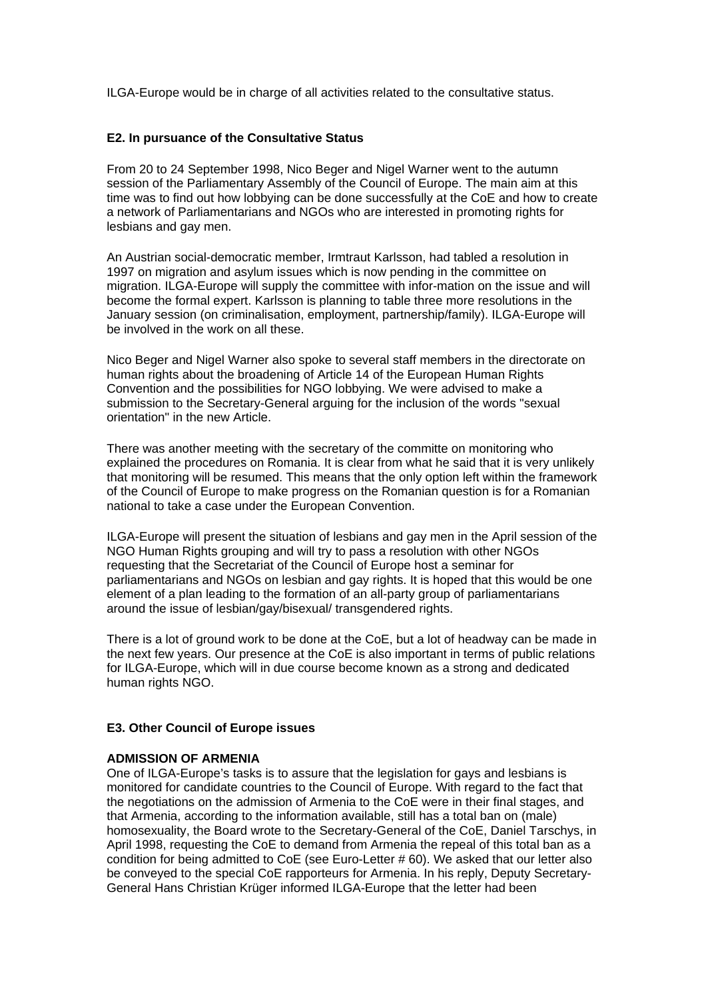ILGA-Europe would be in charge of all activities related to the consultative status.

#### **E2. In pursuance of the Consultative Status**

From 20 to 24 September 1998, Nico Beger and Nigel Warner went to the autumn session of the Parliamentary Assembly of the Council of Europe. The main aim at this time was to find out how lobbying can be done successfully at the CoE and how to create a network of Parliamentarians and NGOs who are interested in promoting rights for lesbians and gay men.

An Austrian social-democratic member, Irmtraut Karlsson, had tabled a resolution in 1997 on migration and asylum issues which is now pending in the committee on migration. ILGA-Europe will supply the committee with infor-mation on the issue and will become the formal expert. Karlsson is planning to table three more resolutions in the January session (on criminalisation, employment, partnership/family). ILGA-Europe will be involved in the work on all these.

Nico Beger and Nigel Warner also spoke to several staff members in the directorate on human rights about the broadening of Article 14 of the European Human Rights Convention and the possibilities for NGO lobbying. We were advised to make a submission to the Secretary-General arguing for the inclusion of the words "sexual orientation" in the new Article.

There was another meeting with the secretary of the committe on monitoring who explained the procedures on Romania. It is clear from what he said that it is very unlikely that monitoring will be resumed. This means that the only option left within the framework of the Council of Europe to make progress on the Romanian question is for a Romanian national to take a case under the European Convention.

ILGA-Europe will present the situation of lesbians and gay men in the April session of the NGO Human Rights grouping and will try to pass a resolution with other NGOs requesting that the Secretariat of the Council of Europe host a seminar for parliamentarians and NGOs on lesbian and gay rights. It is hoped that this would be one element of a plan leading to the formation of an all-party group of parliamentarians around the issue of lesbian/gay/bisexual/ transgendered rights.

There is a lot of ground work to be done at the CoE, but a lot of headway can be made in the next few years. Our presence at the CoE is also important in terms of public relations for ILGA-Europe, which will in due course become known as a strong and dedicated human rights NGO.

#### **E3. Other Council of Europe issues**

#### **ADMISSION OF ARMENIA**

One of ILGA-Europe's tasks is to assure that the legislation for gays and lesbians is monitored for candidate countries to the Council of Europe. With regard to the fact that the negotiations on the admission of Armenia to the CoE were in their final stages, and that Armenia, according to the information available, still has a total ban on (male) homosexuality, the Board wrote to the Secretary-General of the CoE, Daniel Tarschys, in April 1998, requesting the CoE to demand from Armenia the repeal of this total ban as a condition for being admitted to CoE (see Euro-Letter # 60). We asked that our letter also be conveyed to the special CoE rapporteurs for Armenia. In his reply, Deputy Secretary-General Hans Christian Krüger informed ILGA-Europe that the letter had been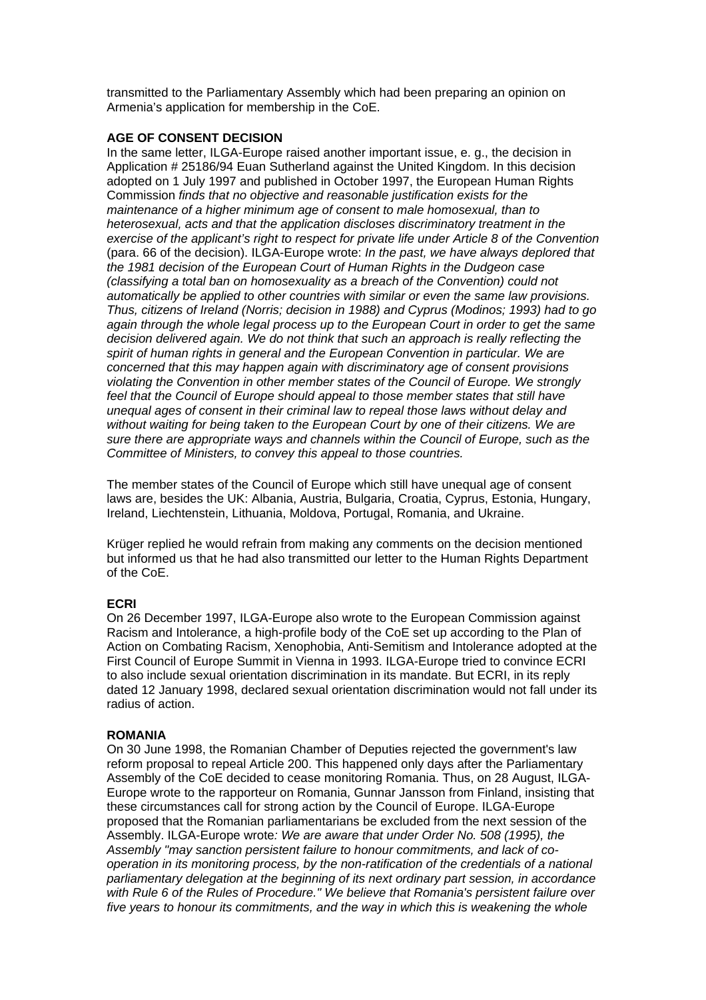transmitted to the Parliamentary Assembly which had been preparing an opinion on Armenia's application for membership in the CoE.

### **AGE OF CONSENT DECISION**

In the same letter, ILGA-Europe raised another important issue, e. g., the decision in Application # 25186/94 Euan Sutherland against the United Kingdom. In this decision adopted on 1 July 1997 and published in October 1997, the European Human Rights Commission *finds that no objective and reasonable justification exists for the maintenance of a higher minimum age of consent to male homosexual, than to heterosexual, acts and that the application discloses discriminatory treatment in the exercise of the applicant's right to respect for private life under Article 8 of the Convention*  (para. 66 of the decision). ILGA-Europe wrote: *In the past, we have always deplored that the 1981 decision of the European Court of Human Rights in the Dudgeon case (classifying a total ban on homosexuality as a breach of the Convention) could not automatically be applied to other countries with similar or even the same law provisions. Thus, citizens of Ireland (Norris; decision in 1988) and Cyprus (Modinos; 1993) had to go again through the whole legal process up to the European Court in order to get the same decision delivered again. We do not think that such an approach is really reflecting the spirit of human rights in general and the European Convention in particular. We are concerned that this may happen again with discriminatory age of consent provisions violating the Convention in other member states of the Council of Europe. We strongly feel that the Council of Europe should appeal to those member states that still have unequal ages of consent in their criminal law to repeal those laws without delay and without waiting for being taken to the European Court by one of their citizens. We are sure there are appropriate ways and channels within the Council of Europe, such as the Committee of Ministers, to convey this appeal to those countries.*

The member states of the Council of Europe which still have unequal age of consent laws are, besides the UK: Albania, Austria, Bulgaria, Croatia, Cyprus, Estonia, Hungary, Ireland, Liechtenstein, Lithuania, Moldova, Portugal, Romania, and Ukraine.

Krüger replied he would refrain from making any comments on the decision mentioned but informed us that he had also transmitted our letter to the Human Rights Department of the CoE.

## **ECRI**

On 26 December 1997, ILGA-Europe also wrote to the European Commission against Racism and Intolerance, a high-profile body of the CoE set up according to the Plan of Action on Combating Racism, Xenophobia, Anti-Semitism and Intolerance adopted at the First Council of Europe Summit in Vienna in 1993. ILGA-Europe tried to convince ECRI to also include sexual orientation discrimination in its mandate. But ECRI, in its reply dated 12 January 1998, declared sexual orientation discrimination would not fall under its radius of action.

#### **ROMANIA**

On 30 June 1998, the Romanian Chamber of Deputies rejected the government's law reform proposal to repeal Article 200. This happened only days after the Parliamentary Assembly of the CoE decided to cease monitoring Romania. Thus, on 28 August, ILGA-Europe wrote to the rapporteur on Romania, Gunnar Jansson from Finland, insisting that these circumstances call for strong action by the Council of Europe. ILGA-Europe proposed that the Romanian parliamentarians be excluded from the next session of the Assembly. ILGA-Europe wrote*: We are aware that under Order No. 508 (1995), the Assembly "may sanction persistent failure to honour commitments, and lack of cooperation in its monitoring process, by the non-ratification of the credentials of a national parliamentary delegation at the beginning of its next ordinary part session, in accordance with Rule 6 of the Rules of Procedure." We believe that Romania's persistent failure over five years to honour its commitments, and the way in which this is weakening the whole*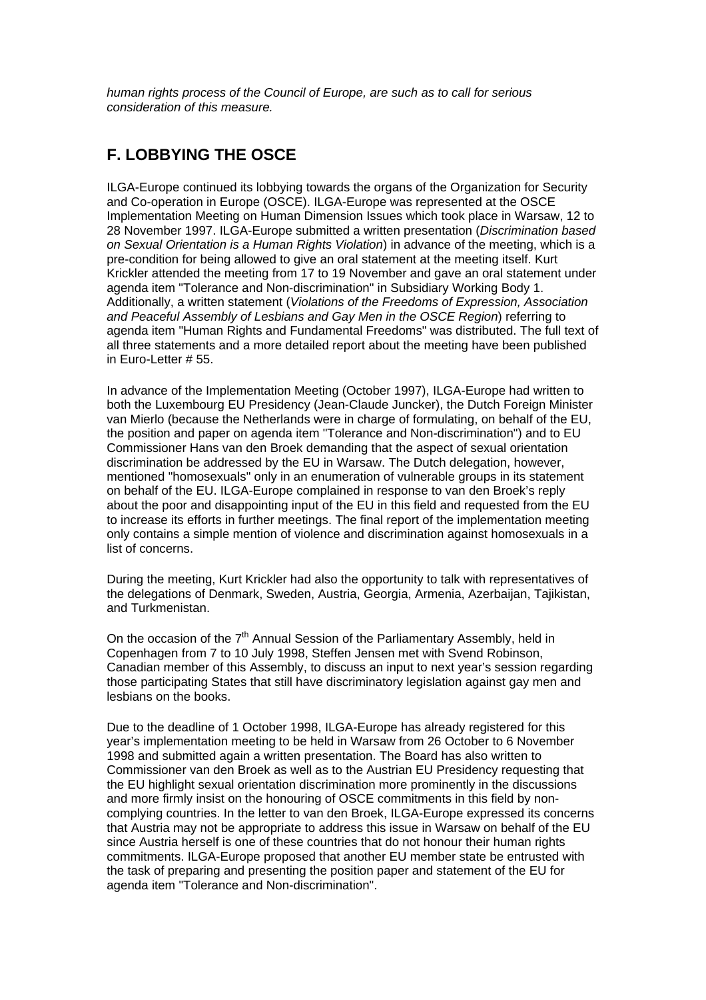*human rights process of the Council of Europe, are such as to call for serious consideration of this measure.*

## **F. LOBBYING THE OSCE**

ILGA-Europe continued its lobbying towards the organs of the Organization for Security and Co-operation in Europe (OSCE). ILGA-Europe was represented at the OSCE Implementation Meeting on Human Dimension Issues which took place in Warsaw, 12 to 28 November 1997. ILGA-Europe submitted a written presentation (*Discrimination based on Sexual Orientation is a Human Rights Violation*) in advance of the meeting, which is a pre-condition for being allowed to give an oral statement at the meeting itself. Kurt Krickler attended the meeting from 17 to 19 November and gave an oral statement under agenda item "Tolerance and Non-discrimination" in Subsidiary Working Body 1. Additionally, a written statement (*Violations of the Freedoms of Expression, Association and Peaceful Assembly of Lesbians and Gay Men in the OSCE Region*) referring to agenda item "Human Rights and Fundamental Freedoms" was distributed. The full text of all three statements and a more detailed report about the meeting have been published in Euro-Letter # 55.

In advance of the Implementation Meeting (October 1997), ILGA-Europe had written to both the Luxembourg EU Presidency (Jean-Claude Juncker), the Dutch Foreign Minister van Mierlo (because the Netherlands were in charge of formulating, on behalf of the EU, the position and paper on agenda item "Tolerance and Non-discrimination") and to EU Commissioner Hans van den Broek demanding that the aspect of sexual orientation discrimination be addressed by the EU in Warsaw. The Dutch delegation, however, mentioned "homosexuals" only in an enumeration of vulnerable groups in its statement on behalf of the EU. ILGA-Europe complained in response to van den Broek's reply about the poor and disappointing input of the EU in this field and requested from the EU to increase its efforts in further meetings. The final report of the implementation meeting only contains a simple mention of violence and discrimination against homosexuals in a list of concerns.

During the meeting, Kurt Krickler had also the opportunity to talk with representatives of the delegations of Denmark, Sweden, Austria, Georgia, Armenia, Azerbaijan, Tajikistan, and Turkmenistan.

On the occasion of the  $7<sup>th</sup>$  Annual Session of the Parliamentary Assembly, held in Copenhagen from 7 to 10 July 1998, Steffen Jensen met with Svend Robinson, Canadian member of this Assembly, to discuss an input to next year's session regarding those participating States that still have discriminatory legislation against gay men and lesbians on the books.

Due to the deadline of 1 October 1998, ILGA-Europe has already registered for this year's implementation meeting to be held in Warsaw from 26 October to 6 November 1998 and submitted again a written presentation. The Board has also written to Commissioner van den Broek as well as to the Austrian EU Presidency requesting that the EU highlight sexual orientation discrimination more prominently in the discussions and more firmly insist on the honouring of OSCE commitments in this field by noncomplying countries. In the letter to van den Broek, ILGA-Europe expressed its concerns that Austria may not be appropriate to address this issue in Warsaw on behalf of the EU since Austria herself is one of these countries that do not honour their human rights commitments. ILGA-Europe proposed that another EU member state be entrusted with the task of preparing and presenting the position paper and statement of the EU for agenda item "Tolerance and Non-discrimination".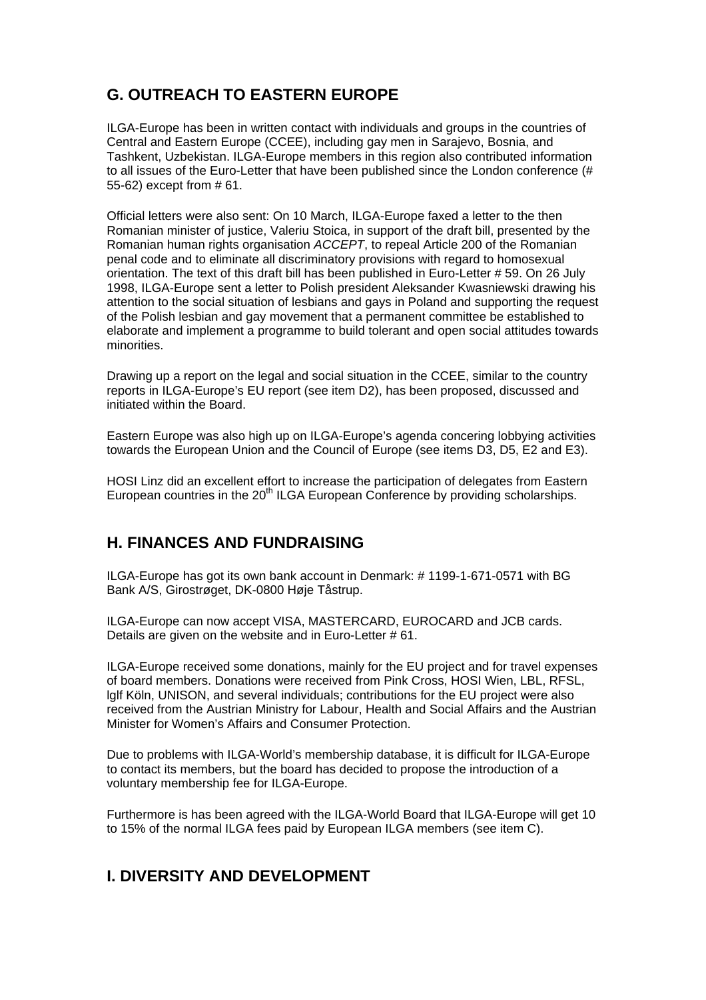# **G. OUTREACH TO EASTERN EUROPE**

ILGA-Europe has been in written contact with individuals and groups in the countries of Central and Eastern Europe (CCEE), including gay men in Sarajevo, Bosnia, and Tashkent, Uzbekistan. ILGA-Europe members in this region also contributed information to all issues of the Euro-Letter that have been published since the London conference (# 55-62) except from # 61.

Official letters were also sent: On 10 March, ILGA-Europe faxed a letter to the then Romanian minister of justice, Valeriu Stoica, in support of the draft bill, presented by the Romanian human rights organisation *ACCEPT*, to repeal Article 200 of the Romanian penal code and to eliminate all discriminatory provisions with regard to homosexual orientation. The text of this draft bill has been published in Euro-Letter # 59. On 26 July 1998, ILGA-Europe sent a letter to Polish president Aleksander Kwasniewski drawing his attention to the social situation of lesbians and gays in Poland and supporting the request of the Polish lesbian and gay movement that a permanent committee be established to elaborate and implement a programme to build tolerant and open social attitudes towards minorities.

Drawing up a report on the legal and social situation in the CCEE, similar to the country reports in ILGA-Europe's EU report (see item D2), has been proposed, discussed and initiated within the Board.

Eastern Europe was also high up on ILGA-Europe's agenda concering lobbying activities towards the European Union and the Council of Europe (see items D3, D5, E2 and E3).

HOSI Linz did an excellent effort to increase the participation of delegates from Eastern European countries in the 20<sup>th</sup> ILGA European Conference by providing scholarships.

## **H. FINANCES AND FUNDRAISING**

ILGA-Europe has got its own bank account in Denmark: # 1199-1-671-0571 with BG Bank A/S, Girostrøget, DK-0800 Høje Tåstrup.

ILGA-Europe can now accept VISA, MASTERCARD, EUROCARD and JCB cards. Details are given on the website and in Euro-Letter # 61.

ILGA-Europe received some donations, mainly for the EU project and for travel expenses of board members. Donations were received from Pink Cross, HOSI Wien, LBL, RFSL, lglf Köln, UNISON, and several individuals; contributions for the EU project were also received from the Austrian Ministry for Labour, Health and Social Affairs and the Austrian Minister for Women's Affairs and Consumer Protection.

Due to problems with ILGA-World's membership database, it is difficult for ILGA-Europe to contact its members, but the board has decided to propose the introduction of a voluntary membership fee for ILGA-Europe.

Furthermore is has been agreed with the ILGA-World Board that ILGA-Europe will get 10 to 15% of the normal ILGA fees paid by European ILGA members (see item C).

## **I. DIVERSITY AND DEVELOPMENT**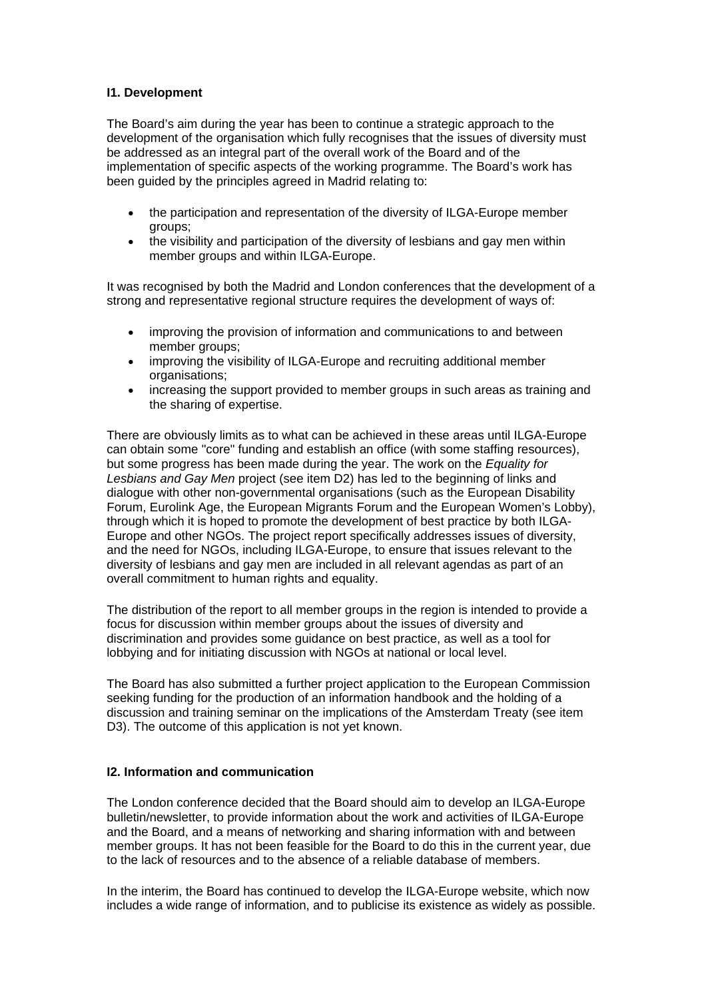## **I1. Development**

The Board's aim during the year has been to continue a strategic approach to the development of the organisation which fully recognises that the issues of diversity must be addressed as an integral part of the overall work of the Board and of the implementation of specific aspects of the working programme. The Board's work has been guided by the principles agreed in Madrid relating to:

- the participation and representation of the diversity of ILGA-Europe member groups;
- the visibility and participation of the diversity of lesbians and gay men within member groups and within ILGA-Europe.

It was recognised by both the Madrid and London conferences that the development of a strong and representative regional structure requires the development of ways of:

- improving the provision of information and communications to and between member groups:
- improving the visibility of ILGA-Europe and recruiting additional member organisations;
- increasing the support provided to member groups in such areas as training and the sharing of expertise.

There are obviously limits as to what can be achieved in these areas until ILGA-Europe can obtain some "core" funding and establish an office (with some staffing resources), but some progress has been made during the year. The work on the *Equality for Lesbians and Gay Men* project (see item D2) has led to the beginning of links and dialogue with other non-governmental organisations (such as the European Disability Forum, Eurolink Age, the European Migrants Forum and the European Women's Lobby), through which it is hoped to promote the development of best practice by both ILGA-Europe and other NGOs. The project report specifically addresses issues of diversity, and the need for NGOs, including ILGA-Europe, to ensure that issues relevant to the diversity of lesbians and gay men are included in all relevant agendas as part of an overall commitment to human rights and equality.

The distribution of the report to all member groups in the region is intended to provide a focus for discussion within member groups about the issues of diversity and discrimination and provides some guidance on best practice, as well as a tool for lobbying and for initiating discussion with NGOs at national or local level.

The Board has also submitted a further project application to the European Commission seeking funding for the production of an information handbook and the holding of a discussion and training seminar on the implications of the Amsterdam Treaty (see item D3). The outcome of this application is not yet known.

#### **I2. Information and communication**

The London conference decided that the Board should aim to develop an ILGA-Europe bulletin/newsletter, to provide information about the work and activities of ILGA-Europe and the Board, and a means of networking and sharing information with and between member groups. It has not been feasible for the Board to do this in the current year, due to the lack of resources and to the absence of a reliable database of members.

In the interim, the Board has continued to develop the ILGA-Europe website, which now includes a wide range of information, and to publicise its existence as widely as possible.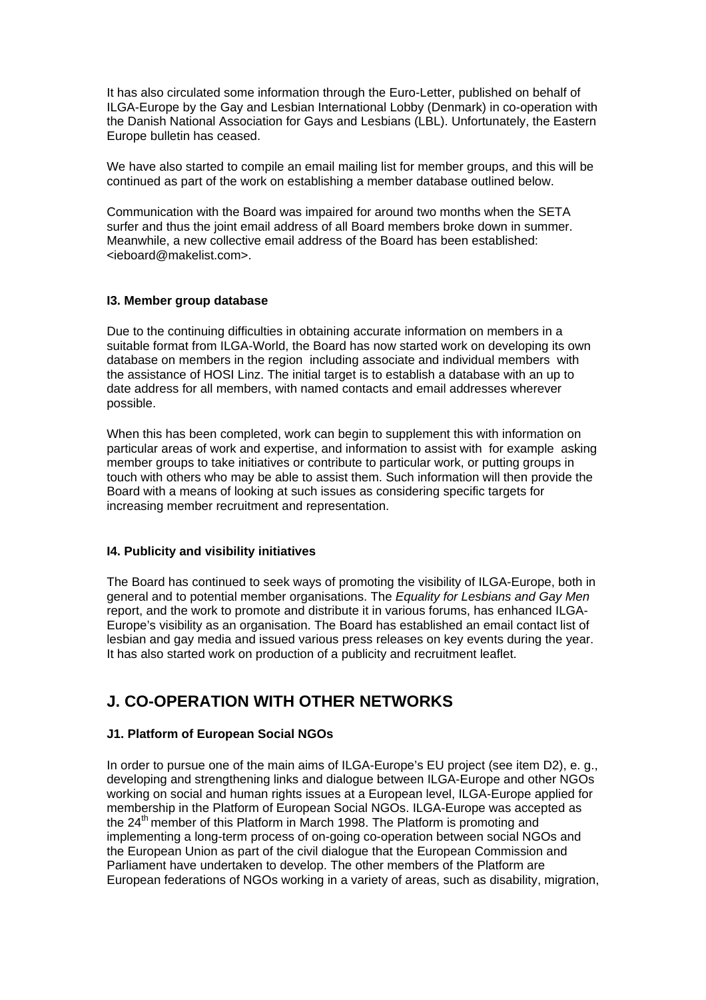It has also circulated some information through the Euro-Letter, published on behalf of ILGA-Europe by the Gay and Lesbian International Lobby (Denmark) in co-operation with the Danish National Association for Gays and Lesbians (LBL). Unfortunately, the Eastern Europe bulletin has ceased.

We have also started to compile an email mailing list for member groups, and this will be continued as part of the work on establishing a member database outlined below.

Communication with the Board was impaired for around two months when the SETA surfer and thus the joint email address of all Board members broke down in summer. Meanwhile, a new collective email address of the Board has been established: <ieboard@makelist.com>.

## **I3. Member group database**

Due to the continuing difficulties in obtaining accurate information on members in a suitable format from ILGA-World, the Board has now started work on developing its own database on members in the region including associate and individual members with the assistance of HOSI Linz. The initial target is to establish a database with an up to date address for all members, with named contacts and email addresses wherever possible.

When this has been completed, work can begin to supplement this with information on particular areas of work and expertise, and information to assist with for example asking member groups to take initiatives or contribute to particular work, or putting groups in touch with others who may be able to assist them. Such information will then provide the Board with a means of looking at such issues as considering specific targets for increasing member recruitment and representation.

## **I4. Publicity and visibility initiatives**

The Board has continued to seek ways of promoting the visibility of ILGA-Europe, both in general and to potential member organisations. The *Equality for Lesbians and Gay Men* report, and the work to promote and distribute it in various forums, has enhanced ILGA-Europe's visibility as an organisation. The Board has established an email contact list of lesbian and gay media and issued various press releases on key events during the year. It has also started work on production of a publicity and recruitment leaflet.

## **J. CO-OPERATION WITH OTHER NETWORKS**

## **J1. Platform of European Social NGOs**

In order to pursue one of the main aims of ILGA-Europe's EU project (see item D2), e. g., developing and strengthening links and dialogue between ILGA-Europe and other NGOs working on social and human rights issues at a European level, ILGA-Europe applied for membership in the Platform of European Social NGOs. ILGA-Europe was accepted as the 24<sup>th</sup> member of this Platform in March 1998. The Platform is promoting and implementing a long-term process of on-going co-operation between social NGOs and the European Union as part of the civil dialogue that the European Commission and Parliament have undertaken to develop. The other members of the Platform are European federations of NGOs working in a variety of areas, such as disability, migration,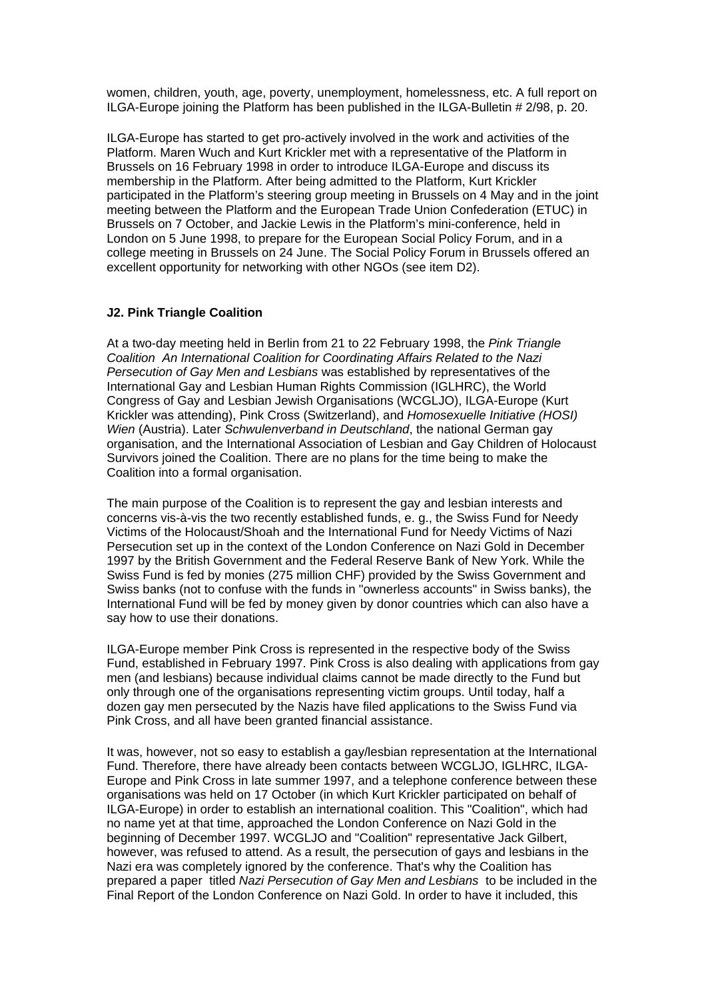women, children, youth, age, poverty, unemployment, homelessness, etc. A full report on ILGA-Europe joining the Platform has been published in the ILGA-Bulletin # 2/98, p. 20.

ILGA-Europe has started to get pro-actively involved in the work and activities of the Platform. Maren Wuch and Kurt Krickler met with a representative of the Platform in Brussels on 16 February 1998 in order to introduce ILGA-Europe and discuss its membership in the Platform. After being admitted to the Platform, Kurt Krickler participated in the Platform's steering group meeting in Brussels on 4 May and in the joint meeting between the Platform and the European Trade Union Confederation (ETUC) in Brussels on 7 October, and Jackie Lewis in the Platform's mini-conference, held in London on 5 June 1998, to prepare for the European Social Policy Forum, and in a college meeting in Brussels on 24 June. The Social Policy Forum in Brussels offered an excellent opportunity for networking with other NGOs (see item D2).

## **J2. Pink Triangle Coalition**

At a two-day meeting held in Berlin from 21 to 22 February 1998, the *Pink Triangle Coalition An International Coalition for Coordinating Affairs Related to the Nazi Persecution of Gay Men and Lesbians* was established by representatives of the International Gay and Lesbian Human Rights Commission (IGLHRC), the World Congress of Gay and Lesbian Jewish Organisations (WCGLJO), ILGA-Europe (Kurt Krickler was attending), Pink Cross (Switzerland), and *Homosexuelle Initiative (HOSI) Wien* (Austria). Later *Schwulenverband in Deutschland*, the national German gay organisation, and the International Association of Lesbian and Gay Children of Holocaust Survivors joined the Coalition. There are no plans for the time being to make the Coalition into a formal organisation.

The main purpose of the Coalition is to represent the gay and lesbian interests and concerns vis-à-vis the two recently established funds, e. g., the Swiss Fund for Needy Victims of the Holocaust/Shoah and the International Fund for Needy Victims of Nazi Persecution set up in the context of the London Conference on Nazi Gold in December 1997 by the British Government and the Federal Reserve Bank of New York. While the Swiss Fund is fed by monies (275 million CHF) provided by the Swiss Government and Swiss banks (not to confuse with the funds in "ownerless accounts" in Swiss banks), the International Fund will be fed by money given by donor countries which can also have a say how to use their donations.

ILGA-Europe member Pink Cross is represented in the respective body of the Swiss Fund, established in February 1997. Pink Cross is also dealing with applications from gay men (and lesbians) because individual claims cannot be made directly to the Fund but only through one of the organisations representing victim groups. Until today, half a dozen gay men persecuted by the Nazis have filed applications to the Swiss Fund via Pink Cross, and all have been granted financial assistance.

It was, however, not so easy to establish a gay/lesbian representation at the International Fund. Therefore, there have already been contacts between WCGLJO, IGLHRC, ILGA-Europe and Pink Cross in late summer 1997, and a telephone conference between these organisations was held on 17 October (in which Kurt Krickler participated on behalf of ILGA-Europe) in order to establish an international coalition. This "Coalition", which had no name yet at that time, approached the London Conference on Nazi Gold in the beginning of December 1997. WCGLJO and "Coalition" representative Jack Gilbert, however, was refused to attend. As a result, the persecution of gays and lesbians in the Nazi era was completely ignored by the conference. That's why the Coalition has prepared a paper titled *Nazi Persecution of Gay Men and Lesbians* to be included in the Final Report of the London Conference on Nazi Gold. In order to have it included, this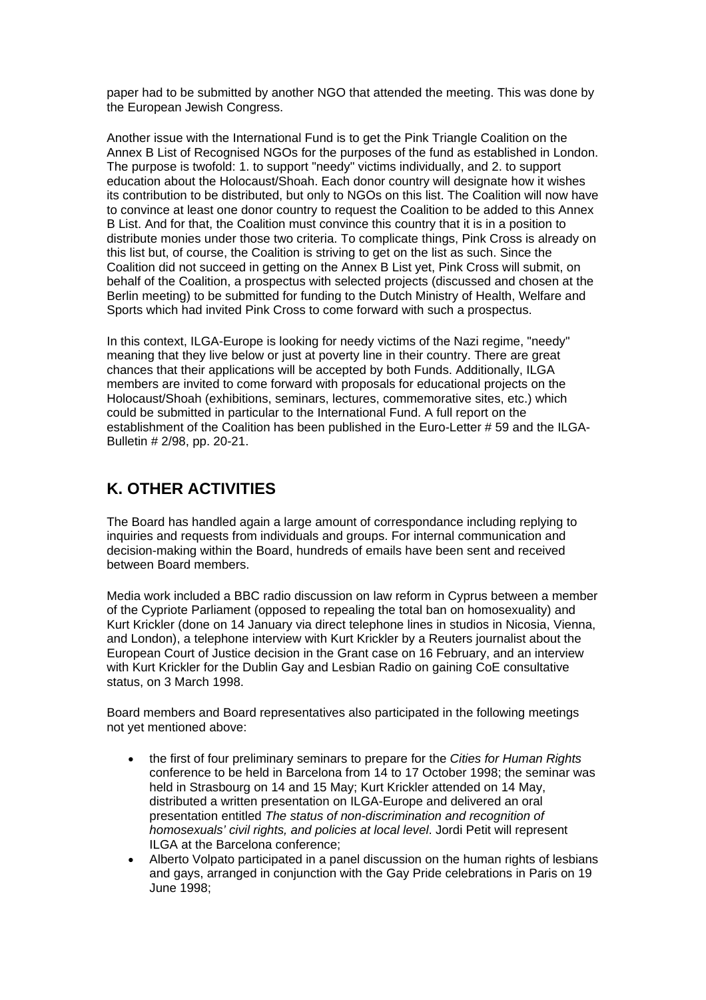paper had to be submitted by another NGO that attended the meeting. This was done by the European Jewish Congress.

Another issue with the International Fund is to get the Pink Triangle Coalition on the Annex B List of Recognised NGOs for the purposes of the fund as established in London. The purpose is twofold: 1. to support "needy" victims individually, and 2. to support education about the Holocaust/Shoah. Each donor country will designate how it wishes its contribution to be distributed, but only to NGOs on this list. The Coalition will now have to convince at least one donor country to request the Coalition to be added to this Annex B List. And for that, the Coalition must convince this country that it is in a position to distribute monies under those two criteria. To complicate things, Pink Cross is already on this list but, of course, the Coalition is striving to get on the list as such. Since the Coalition did not succeed in getting on the Annex B List yet, Pink Cross will submit, on behalf of the Coalition, a prospectus with selected projects (discussed and chosen at the Berlin meeting) to be submitted for funding to the Dutch Ministry of Health, Welfare and Sports which had invited Pink Cross to come forward with such a prospectus.

In this context, ILGA-Europe is looking for needy victims of the Nazi regime, "needy" meaning that they live below or just at poverty line in their country. There are great chances that their applications will be accepted by both Funds. Additionally, ILGA members are invited to come forward with proposals for educational projects on the Holocaust/Shoah (exhibitions, seminars, lectures, commemorative sites, etc.) which could be submitted in particular to the International Fund. A full report on the establishment of the Coalition has been published in the Euro-Letter # 59 and the ILGA-Bulletin # 2/98, pp. 20-21.

## **K. OTHER ACTIVITIES**

The Board has handled again a large amount of correspondance including replying to inquiries and requests from individuals and groups. For internal communication and decision-making within the Board, hundreds of emails have been sent and received between Board members.

Media work included a BBC radio discussion on law reform in Cyprus between a member of the Cypriote Parliament (opposed to repealing the total ban on homosexuality) and Kurt Krickler (done on 14 January via direct telephone lines in studios in Nicosia, Vienna, and London), a telephone interview with Kurt Krickler by a Reuters journalist about the European Court of Justice decision in the Grant case on 16 February, and an interview with Kurt Krickler for the Dublin Gay and Lesbian Radio on gaining CoE consultative status, on 3 March 1998.

Board members and Board representatives also participated in the following meetings not yet mentioned above:

- the first of four preliminary seminars to prepare for the *Cities for Human Rights* conference to be held in Barcelona from 14 to 17 October 1998; the seminar was held in Strasbourg on 14 and 15 May; Kurt Krickler attended on 14 May, distributed a written presentation on ILGA-Europe and delivered an oral presentation entitled *The status of non-discrimination and recognition of homosexuals' civil rights, and policies at local level*. Jordi Petit will represent ILGA at the Barcelona conference;
- Alberto Volpato participated in a panel discussion on the human rights of lesbians and gays, arranged in conjunction with the Gay Pride celebrations in Paris on 19 June 1998;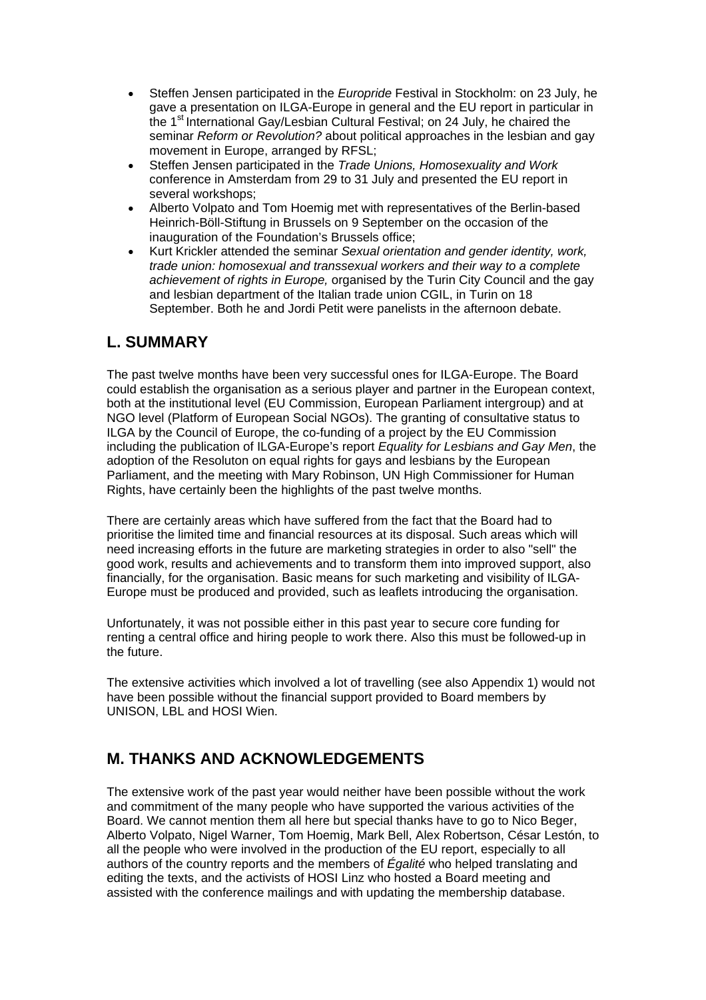- Steffen Jensen participated in the *Europride* Festival in Stockholm: on 23 July, he gave a presentation on ILGA-Europe in general and the EU report in particular in the 1<sup>st</sup> International Gay/Lesbian Cultural Festival; on 24 July, he chaired the seminar *Reform or Revolution?* about political approaches in the lesbian and gay movement in Europe, arranged by RFSL;
- Steffen Jensen participated in the *Trade Unions, Homosexuality and Work* conference in Amsterdam from 29 to 31 July and presented the EU report in several workshops;
- Alberto Volpato and Tom Hoemig met with representatives of the Berlin-based Heinrich-Böll-Stiftung in Brussels on 9 September on the occasion of the inauguration of the Foundation's Brussels office;
- Kurt Krickler attended the seminar *Sexual orientation and gender identity, work, trade union: homosexual and transsexual workers and their way to a complete achievement of rights in Europe,* organised by the Turin City Council and the gay and lesbian department of the Italian trade union CGIL, in Turin on 18 September. Both he and Jordi Petit were panelists in the afternoon debate.

## **L. SUMMARY**

The past twelve months have been very successful ones for ILGA-Europe. The Board could establish the organisation as a serious player and partner in the European context, both at the institutional level (EU Commission, European Parliament intergroup) and at NGO level (Platform of European Social NGOs). The granting of consultative status to ILGA by the Council of Europe, the co-funding of a project by the EU Commission including the publication of ILGA-Europe's report *Equality for Lesbians and Gay Men*, the adoption of the Resoluton on equal rights for gays and lesbians by the European Parliament, and the meeting with Mary Robinson, UN High Commissioner for Human Rights, have certainly been the highlights of the past twelve months.

There are certainly areas which have suffered from the fact that the Board had to prioritise the limited time and financial resources at its disposal. Such areas which will need increasing efforts in the future are marketing strategies in order to also "sell" the good work, results and achievements and to transform them into improved support, also financially, for the organisation. Basic means for such marketing and visibility of ILGA-Europe must be produced and provided, such as leaflets introducing the organisation.

Unfortunately, it was not possible either in this past year to secure core funding for renting a central office and hiring people to work there. Also this must be followed-up in the future.

The extensive activities which involved a lot of travelling (see also Appendix 1) would not have been possible without the financial support provided to Board members by UNISON, LBL and HOSI Wien.

## **M. THANKS AND ACKNOWLEDGEMENTS**

The extensive work of the past year would neither have been possible without the work and commitment of the many people who have supported the various activities of the Board. We cannot mention them all here but special thanks have to go to Nico Beger, Alberto Volpato, Nigel Warner, Tom Hoemig, Mark Bell, Alex Robertson, César Lestón, to all the people who were involved in the production of the EU report, especially to all authors of the country reports and the members of *Égalité* who helped translating and editing the texts, and the activists of HOSI Linz who hosted a Board meeting and assisted with the conference mailings and with updating the membership database.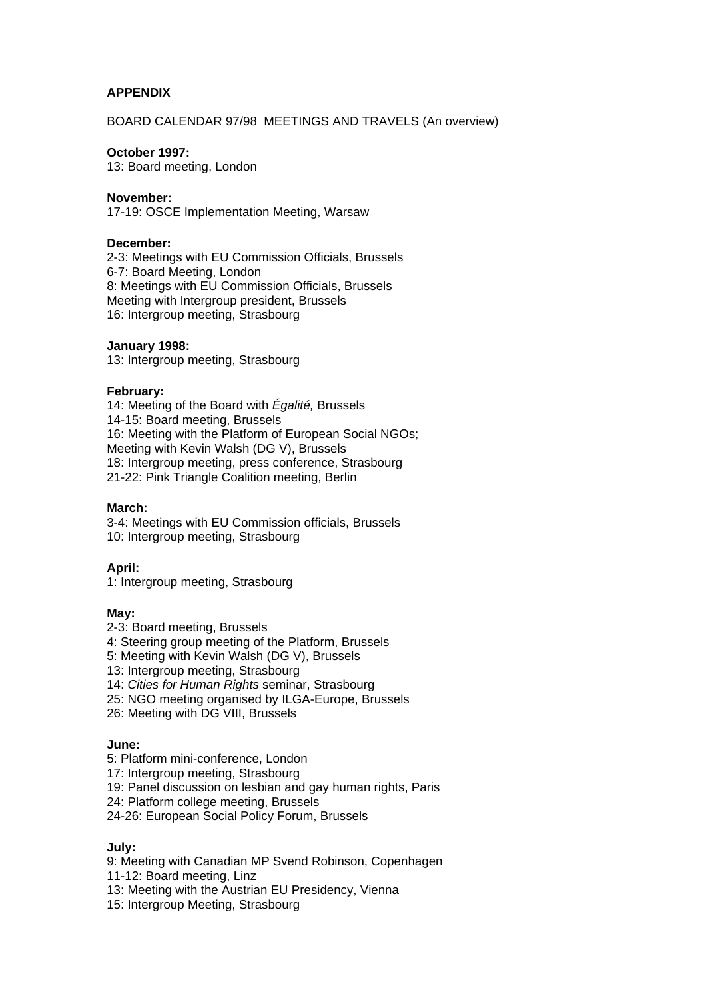## **APPENDIX**

BOARD CALENDAR 97/98 MEETINGS AND TRAVELS (An overview)

#### **October 1997:**

13: Board meeting, London

### **November:**

17-19: OSCE Implementation Meeting, Warsaw

#### **December:**

2-3: Meetings with EU Commission Officials, Brussels 6-7: Board Meeting, London 8: Meetings with EU Commission Officials, Brussels Meeting with Intergroup president, Brussels 16: Intergroup meeting, Strasbourg

#### **January 1998:**

13: Intergroup meeting, Strasbourg

#### **February:**

14: Meeting of the Board with *Égalité,* Brussels 14-15: Board meeting, Brussels 16: Meeting with the Platform of European Social NGOs; Meeting with Kevin Walsh (DG V), Brussels 18: Intergroup meeting, press conference, Strasbourg 21-22: Pink Triangle Coalition meeting, Berlin

## **March:**

3-4: Meetings with EU Commission officials, Brussels 10: Intergroup meeting, Strasbourg

## **April:**

1: Intergroup meeting, Strasbourg

#### **May:**

- 2-3: Board meeting, Brussels
- 4: Steering group meeting of the Platform, Brussels
- 5: Meeting with Kevin Walsh (DG V), Brussels
- 13: Intergroup meeting, Strasbourg
- 14: *Cities for Human Rights* seminar, Strasbourg
- 25: NGO meeting organised by ILGA-Europe, Brussels
- 26: Meeting with DG VIII, Brussels

#### **June:**

- 5: Platform mini-conference, London
- 17: Intergroup meeting, Strasbourg
- 19: Panel discussion on lesbian and gay human rights, Paris
- 24: Platform college meeting, Brussels
- 24-26: European Social Policy Forum, Brussels

#### **July:**

9: Meeting with Canadian MP Svend Robinson, Copenhagen

- 11-12: Board meeting, Linz
- 13: Meeting with the Austrian EU Presidency, Vienna
- 15: Intergroup Meeting, Strasbourg